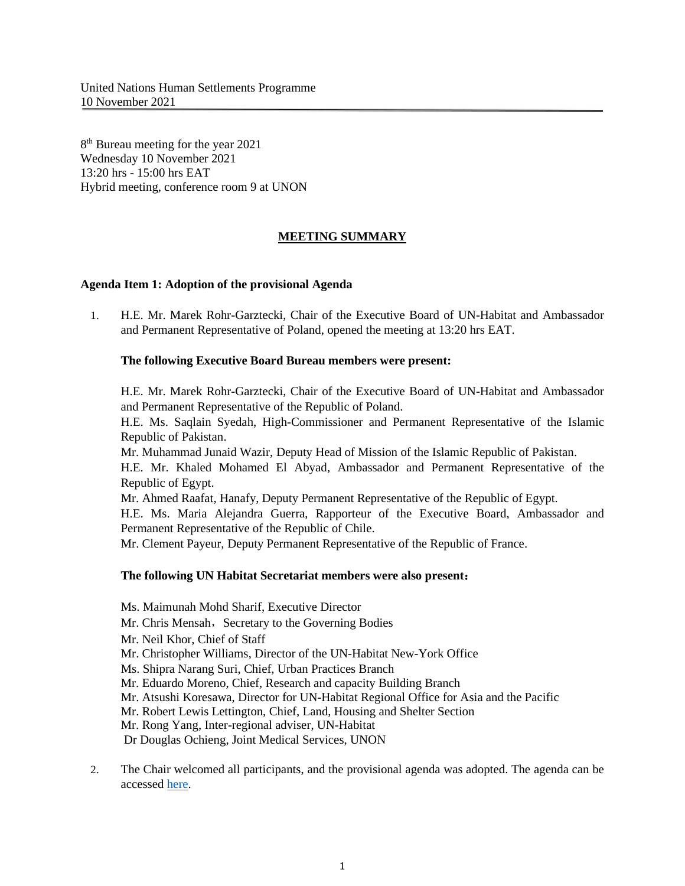8<sup>th</sup> Bureau meeting for the year 2021 Wednesday 10 November 2021 13:20 hrs - 15:00 hrs EAT Hybrid meeting, conference room 9 at UNON

# **MEETING SUMMARY**

### **Agenda Item 1: Adoption of the provisional Agenda**

1. H.E. Mr. Marek Rohr-Garztecki, Chair of the Executive Board of UN-Habitat and Ambassador and Permanent Representative of Poland, opened the meeting at 13:20 hrs EAT.

## **The following Executive Board Bureau members were present:**

H.E. Mr. Marek Rohr-Garztecki, Chair of the Executive Board of UN-Habitat and Ambassador and Permanent Representative of the Republic of Poland.

H.E. Ms. Saqlain Syedah, High-Commissioner and Permanent Representative of the Islamic Republic of Pakistan.

Mr. Muhammad Junaid Wazir, Deputy Head of Mission of the Islamic Republic of Pakistan.

H.E. Mr. Khaled Mohamed El Abyad, Ambassador and Permanent Representative of the Republic of Egypt.

Mr. Ahmed Raafat, Hanafy, Deputy Permanent Representative of the Republic of Egypt.

H.E. Ms. Maria Alejandra Guerra, Rapporteur of the Executive Board, Ambassador and Permanent Representative of the Republic of Chile.

Mr. Clement Payeur, Deputy Permanent Representative of the Republic of France.

## **The following UN Habitat Secretariat members were also present**:

Ms. Maimunah Mohd Sharif, Executive Director

Mr. Chris Mensah, Secretary to the Governing Bodies

Mr. Neil Khor, Chief of Staff

Mr. Christopher Williams, Director of the UN-Habitat New-York Office

Ms. Shipra Narang Suri, Chief, Urban Practices Branch

Mr. Eduardo Moreno, Chief, Research and capacity Building Branch

Mr. Atsushi Koresawa, Director for UN-Habitat Regional Office for Asia and the Pacific

Mr. Robert Lewis Lettington, Chief, Land, Housing and Shelter Section

Mr. Rong Yang, Inter-regional adviser, UN-Habitat

Dr Douglas Ochieng, Joint Medical Services, UNON

2. The Chair welcomed all participants, and the provisional agenda was adopted. The agenda can be accessed [here.](https://unhabitat.org/sites/default/files/2021/11/proposed_provisional_agenda_-_eb_bureau_meeting_10_november_2021.pdf)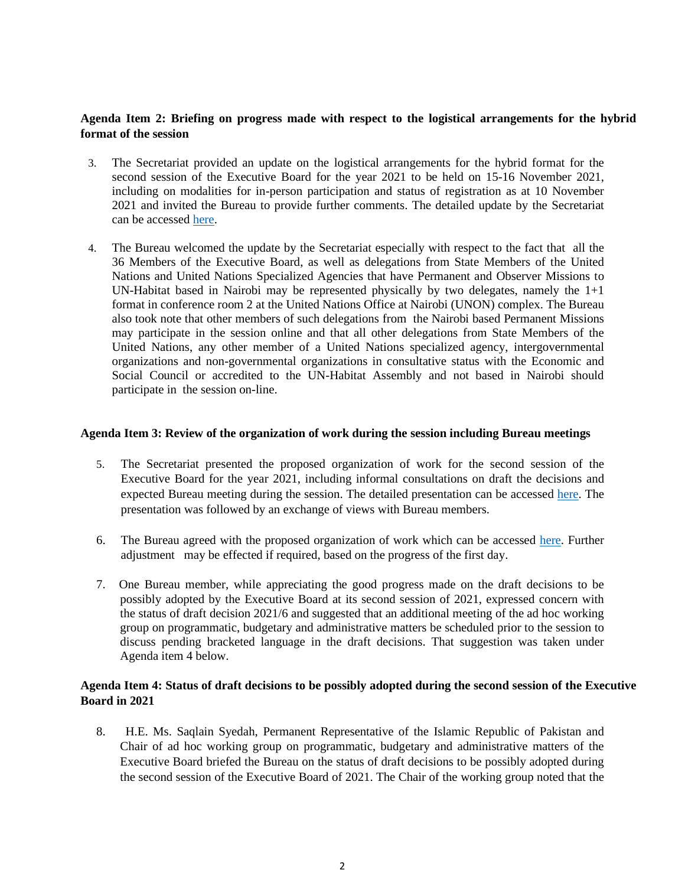## **Agenda Item 2: Briefing on progress made with respect to the logistical arrangements for the hybrid format of the session**

- 3. The Secretariat provided an update on the logistical arrangements for the hybrid format for the second session of the Executive Board for the year 2021 to be held on 15-16 November 2021, including on modalities for in-person participation and status of registration as at 10 November 2021 and invited the Bureau to provide further comments. The detailed update by the Secretariat can be accessed [here.](https://unhabitat.org/sites/default/files/2021/11/0._ed_presentation_bureau_meeting_10_november_-_draft_10112021.pdf)
- 4. The Bureau welcomed the update by the Secretariat especially with respect to the fact that all the 36 Members of the Executive Board, as well as delegations from State Members of the United Nations and United Nations Specialized Agencies that have Permanent and Observer Missions to UN-Habitat based in Nairobi may be represented physically by two delegates, namely the 1+1 format in conference room 2 at the United Nations Office at Nairobi (UNON) complex. The Bureau also took note that other members of such delegations from the Nairobi based Permanent Missions may participate in the session online and that all other delegations from State Members of the United Nations, any other member of a United Nations specialized agency, intergovernmental organizations and non-governmental organizations in consultative status with the Economic and Social Council or accredited to the UN-Habitat Assembly and not based in Nairobi should participate in the session on-line.

### **Agenda Item 3: Review of the organization of work during the session including Bureau meetings**

- 5. The Secretariat presented the proposed organization of work for the second session of the Executive Board for the year 2021, including informal consultations on draft the decisions and expected Bureau meeting during the session. The detailed presentation can be accessed [here.](https://unhabitat.org/sites/default/files/2021/11/0._ed_presentation_bureau_meeting_10_november_-_draft_10112021.pdf) The presentation was followed by an exchange of views with Bureau members.
- 6. The Bureau agreed with the proposed organization of work which can be accessed [here.](https://unhabitat.org/sites/default/files/2021/11/0._ed_presentation_bureau_meeting_10_november_-_draft_10112021.pdf) Further adjustment may be effected if required, based on the progress of the first day.
- 7. One Bureau member, while appreciating the good progress made on the draft decisions to be possibly adopted by the Executive Board at its second session of 2021, expressed concern with the status of draft decision 2021/6 and suggested that an additional meeting of the ad hoc working group on programmatic, budgetary and administrative matters be scheduled prior to the session to discuss pending bracketed language in the draft decisions. That suggestion was taken under Agenda item 4 below.

## **Agenda Item 4: Status of draft decisions to be possibly adopted during the second session of the Executive Board in 2021**

8. H.E. Ms. Saqlain Syedah, Permanent Representative of the Islamic Republic of Pakistan and Chair of ad hoc working group on programmatic, budgetary and administrative matters of the Executive Board briefed the Bureau on the status of draft decisions to be possibly adopted during the second session of the Executive Board of 2021. The Chair of the working group noted that the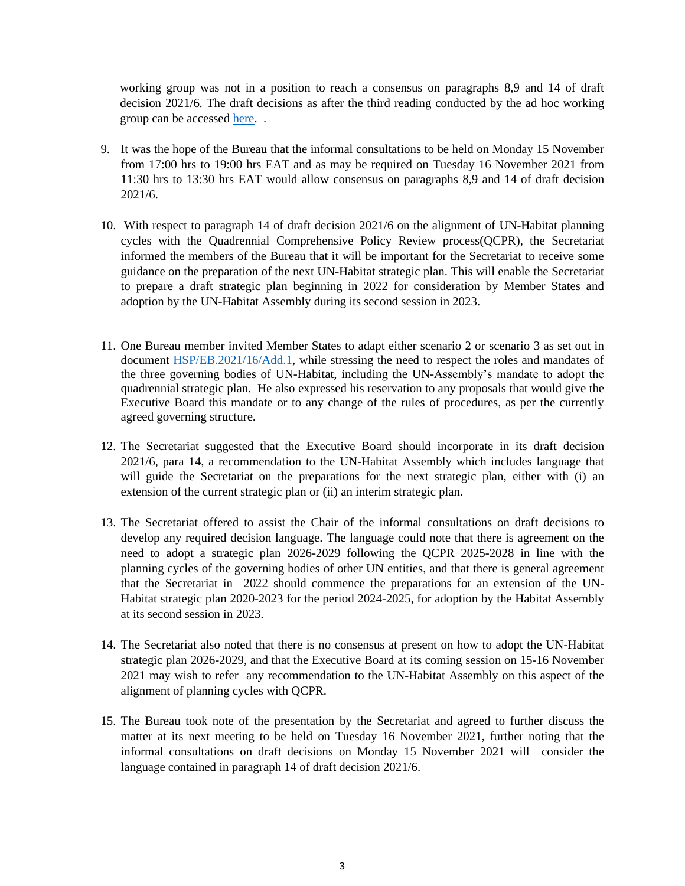working group was not in a position to reach a consensus on paragraphs 8,9 and 14 of draft decision 2021/6. The draft decisions as after the third reading conducted by the ad hoc working group can be accessed [here.](https://unhabitat.org/sites/default/files/2021/11/hsp-eb-2021-crp5.pdf) .

- 9. It was the hope of the Bureau that the informal consultations to be held on Monday 15 November from 17:00 hrs to 19:00 hrs EAT and as may be required on Tuesday 16 November 2021 from 11:30 hrs to 13:30 hrs EAT would allow consensus on paragraphs 8,9 and 14 of draft decision 2021/6.
- 10. With respect to paragraph 14 of draft decision 2021/6 on the alignment of UN-Habitat planning cycles with the Quadrennial Comprehensive Policy Review process(QCPR), the Secretariat informed the members of the Bureau that it will be important for the Secretariat to receive some guidance on the preparation of the next UN-Habitat strategic plan. This will enable the Secretariat to prepare a draft strategic plan beginning in 2022 for consideration by Member States and adoption by the UN-Habitat Assembly during its second session in 2023.
- 11. One Bureau member invited Member States to adapt either scenario 2 or scenario 3 as set out in document [HSP/EB.2021/16/Add.1,](https://unhabitat.org/sites/default/files/2021/05/english-hspeb.202016add.1.pdf) while stressing the need to respect the roles and mandates of the three governing bodies of UN-Habitat, including the UN-Assembly's mandate to adopt the quadrennial strategic plan. He also expressed his reservation to any proposals that would give the Executive Board this mandate or to any change of the rules of procedures, as per the currently agreed governing structure.
- 12. The Secretariat suggested that the Executive Board should incorporate in its draft decision 2021/6, para 14, a recommendation to the UN-Habitat Assembly which includes language that will guide the Secretariat on the preparations for the next strategic plan, either with (i) an extension of the current strategic plan or (ii) an interim strategic plan.
- 13. The Secretariat offered to assist the Chair of the informal consultations on draft decisions to develop any required decision language. The language could note that there is agreement on the need to adopt a strategic plan 2026-2029 following the QCPR 2025-2028 in line with the planning cycles of the governing bodies of other UN entities, and that there is general agreement that the Secretariat in 2022 should commence the preparations for an extension of the UN-Habitat strategic plan 2020-2023 for the period 2024-2025, for adoption by the Habitat Assembly at its second session in 2023.
- 14. The Secretariat also noted that there is no consensus at present on how to adopt the UN-Habitat strategic plan 2026-2029, and that the Executive Board at its coming session on 15-16 November 2021 may wish to refer any recommendation to the UN-Habitat Assembly on this aspect of the alignment of planning cycles with QCPR.
- 15. The Bureau took note of the presentation by the Secretariat and agreed to further discuss the matter at its next meeting to be held on Tuesday 16 November 2021, further noting that the informal consultations on draft decisions on Monday 15 November 2021 will consider the language contained in paragraph 14 of draft decision 2021/6.